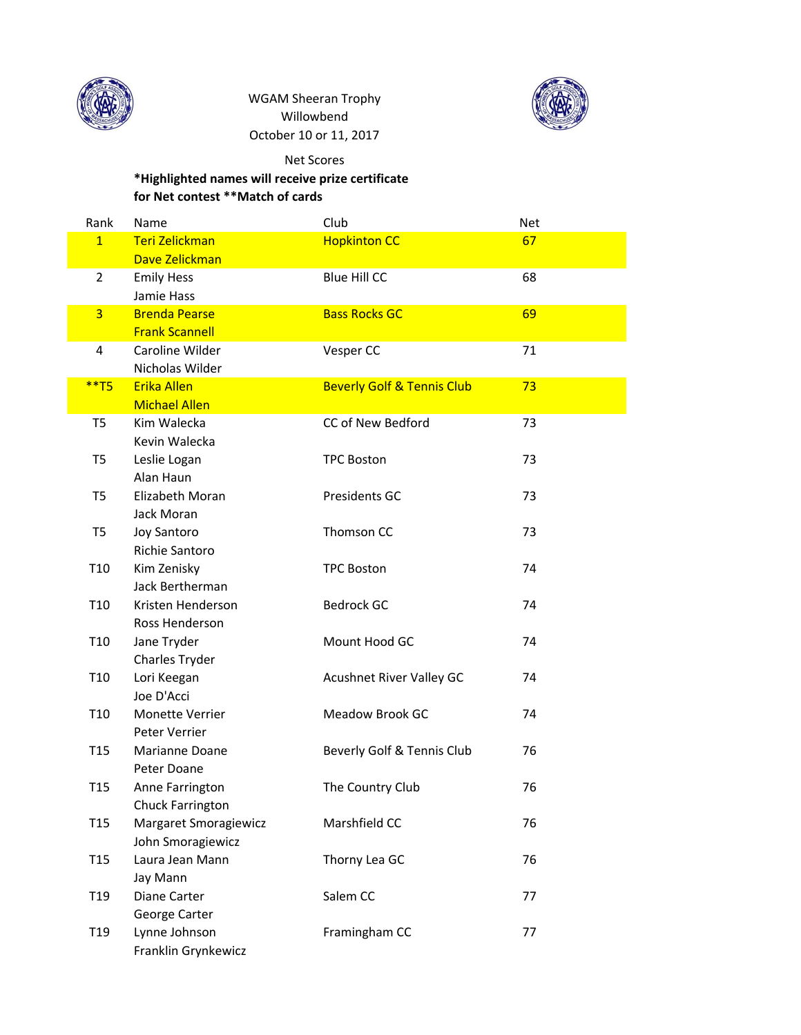

WGAM Sheeran Trophy Willowbend October 10 or 11, 2017



## Net Scores

## **\*Highlighted names will receive prize certificate for Net contest \*\*Match of cards**

| Rank            | Name                   | Club                                  | <b>Net</b> |  |
|-----------------|------------------------|---------------------------------------|------------|--|
| $\mathbf{1}$    | <b>Teri Zelickman</b>  | <b>Hopkinton CC</b>                   | 67         |  |
|                 | Dave Zelickman         |                                       |            |  |
| $\overline{2}$  | <b>Emily Hess</b>      | <b>Blue Hill CC</b>                   | 68         |  |
|                 | Jamie Hass             |                                       |            |  |
| $\overline{3}$  | <b>Brenda Pearse</b>   | <b>Bass Rocks GC</b>                  | 69         |  |
|                 | <b>Frank Scannell</b>  |                                       |            |  |
| 4               | Caroline Wilder        | Vesper CC                             | 71         |  |
|                 | Nicholas Wilder        |                                       |            |  |
| $**T5$          | <b>Erika Allen</b>     | <b>Beverly Golf &amp; Tennis Club</b> | 73         |  |
|                 | <b>Michael Allen</b>   |                                       |            |  |
| T <sub>5</sub>  | Kim Walecka            | CC of New Bedford                     | 73         |  |
|                 | Kevin Walecka          |                                       |            |  |
| T <sub>5</sub>  | Leslie Logan           | <b>TPC Boston</b>                     | 73         |  |
|                 | Alan Haun              |                                       |            |  |
| T <sub>5</sub>  | Elizabeth Moran        | Presidents GC                         | 73         |  |
|                 | Jack Moran             |                                       |            |  |
| T5              | <b>Joy Santoro</b>     | Thomson CC                            | 73         |  |
|                 | Richie Santoro         |                                       |            |  |
| T10             | Kim Zenisky            | <b>TPC Boston</b>                     | 74         |  |
|                 | Jack Bertherman        |                                       |            |  |
| T <sub>10</sub> | Kristen Henderson      | <b>Bedrock GC</b>                     | 74         |  |
|                 | Ross Henderson         |                                       |            |  |
| T10             | Jane Tryder            | Mount Hood GC                         | 74         |  |
|                 | Charles Tryder         |                                       |            |  |
| T10             | Lori Keegan            | <b>Acushnet River Valley GC</b>       | 74         |  |
|                 | Joe D'Acci             |                                       |            |  |
| T <sub>10</sub> | <b>Monette Verrier</b> | Meadow Brook GC                       | 74         |  |
|                 | Peter Verrier          |                                       |            |  |
| T <sub>15</sub> | Marianne Doane         | Beverly Golf & Tennis Club            | 76         |  |
|                 | Peter Doane            |                                       |            |  |
| T <sub>15</sub> | Anne Farrington        | The Country Club                      | 76         |  |
|                 | Chuck Farrington       |                                       |            |  |
| T <sub>15</sub> | Margaret Smoragiewicz  | Marshfield CC                         | 76         |  |
|                 | John Smoragiewicz      |                                       |            |  |
| T <sub>15</sub> | Laura Jean Mann        | Thorny Lea GC                         | 76         |  |
|                 | Jay Mann               |                                       |            |  |
| T19             | Diane Carter           | Salem CC                              | 77         |  |
|                 | George Carter          |                                       |            |  |
| T <sub>19</sub> | Lynne Johnson          | Framingham CC                         | 77         |  |
|                 | Franklin Grynkewicz    |                                       |            |  |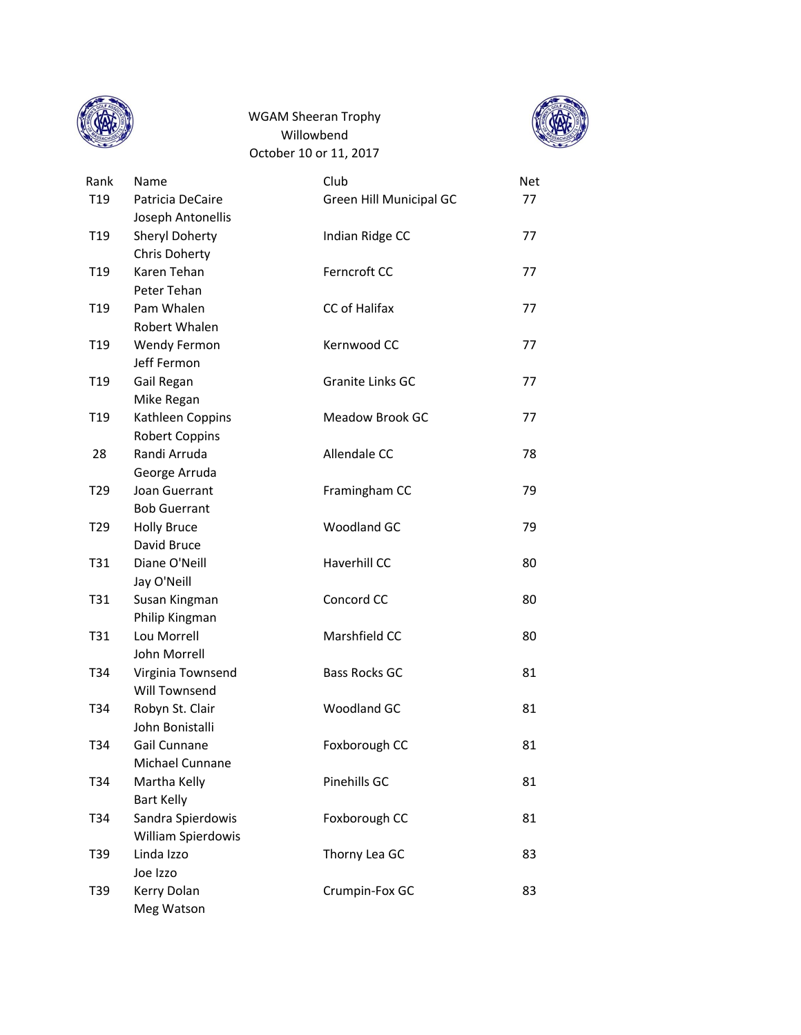

October 10 or 11, 2017 WGAM Sheeran Trophy Willowbend



| Rank            | Name                                 | Club                    | <b>Net</b> |
|-----------------|--------------------------------------|-------------------------|------------|
| T <sub>19</sub> | Patricia DeCaire                     | Green Hill Municipal GC | 77         |
|                 | Joseph Antonellis                    |                         |            |
| T <sub>19</sub> | <b>Sheryl Doherty</b>                | Indian Ridge CC         | 77         |
|                 | Chris Doherty                        |                         |            |
| T <sub>19</sub> | Karen Tehan                          | Ferncroft CC            | 77         |
|                 | Peter Tehan                          |                         |            |
| T <sub>19</sub> | Pam Whalen                           | CC of Halifax           | 77         |
|                 | Robert Whalen                        |                         |            |
| T <sub>19</sub> | <b>Wendy Fermon</b>                  | Kernwood CC             | 77         |
|                 | Jeff Fermon                          |                         |            |
| T <sub>19</sub> | Gail Regan                           | Granite Links GC        | 77         |
|                 | Mike Regan                           |                         |            |
| T <sub>19</sub> | Kathleen Coppins                     | Meadow Brook GC         | 77         |
|                 | <b>Robert Coppins</b>                |                         |            |
| 28              | Randi Arruda                         | Allendale CC            | 78         |
|                 | George Arruda                        |                         |            |
| T <sub>29</sub> | Joan Guerrant<br><b>Bob Guerrant</b> | Framingham CC           | 79         |
| T <sub>29</sub> | <b>Holly Bruce</b>                   | Woodland GC             | 79         |
|                 | David Bruce                          |                         |            |
| T31             | Diane O'Neill                        | Haverhill CC            | 80         |
|                 | Jay O'Neill                          |                         |            |
| T31             | Susan Kingman                        | Concord CC              | 80         |
|                 | Philip Kingman                       |                         |            |
| T31             | Lou Morrell                          | Marshfield CC           | 80         |
|                 | John Morrell                         |                         |            |
| T <sub>34</sub> | Virginia Townsend                    | <b>Bass Rocks GC</b>    | 81         |
|                 | Will Townsend                        |                         |            |
| T34             | Robyn St. Clair                      | Woodland GC             | 81         |
|                 | John Bonistalli                      |                         |            |
| T34             | Gail Cunnane                         | Foxborough CC           | 81         |
|                 | Michael Cunnane                      |                         |            |
| T34             | Martha Kelly                         | Pinehills GC            | 81         |
|                 | <b>Bart Kelly</b>                    |                         |            |
| T34             | Sandra Spierdowis                    | Foxborough CC           | 81         |
|                 | William Spierdowis                   |                         |            |
| T39             | Linda Izzo                           | Thorny Lea GC           | 83         |
|                 | Joe Izzo                             |                         |            |
| T39             | Kerry Dolan                          | Crumpin-Fox GC          | 83         |
|                 | Meg Watson                           |                         |            |